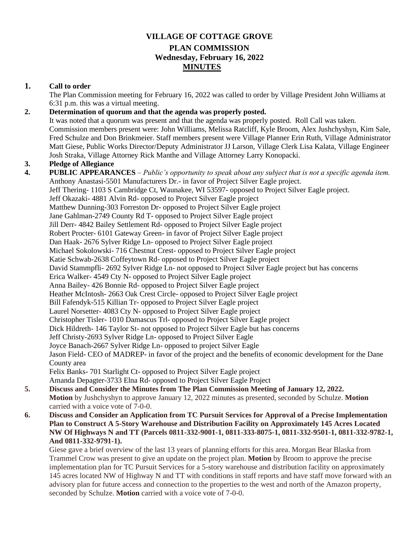# **VILLAGE OF COTTAGE GROVE PLAN COMMISSION Wednesday, February 16, 2022 MINUTES**

## **1. Call to order**

The Plan Commission meeting for February 16, 2022 was called to order by Village President John Williams at 6:31 p.m. this was a virtual meeting.

# **2. Determination of quorum and that the agenda was properly posted.**

It was noted that a quorum was present and that the agenda was properly posted. Roll Call was taken. Commission members present were: John Williams, Melissa Ratcliff, Kyle Broom, Alex Jushchyshyn, Kim Sale, Fred Schulze and Don Brinkmeier. Staff members present were Village Planner Erin Ruth, Village Administrator Matt Giese, Public Works Director/Deputy Administrator JJ Larson, Village Clerk Lisa Kalata, Village Engineer Josh Straka, Village Attorney Rick Manthe and Village Attorney Larry Konopacki.

## **3. Pledge of Allegiance**

- **4. PUBLIC APPEARANCES** *Public's opportunity to speak about any subject that is not a specific agenda item.*  Anthony Anastasi-5501 Manufacturers Dr.- in favor of Project Silver Eagle project. Jeff Thering- 1103 S Cambridge Ct, Waunakee, WI 53597- opposed to Project Silver Eagle project. Jeff Okazaki- 4881 Alvin Rd- opposed to Project Silver Eagle project Matthew Dunning-303 Forreston Dr- opposed to Project Silver Eagle project Jane Gahlman-2749 County Rd T- opposed to Project Silver Eagle project Jill Derr- 4842 Bailey Settlement Rd- opposed to Project Silver Eagle project Robert Procter- 6101 Gateway Green- in favor of Project Silver Eagle project Dan Haak- 2676 Sylver Ridge Ln- opposed to Project Silver Eagle project Michael Sokolowski- 716 Chestnut Crest- opposed to Project Silver Eagle project Katie Schwab-2638 Coffeytown Rd- opposed to Project Silver Eagle project David Stammpfli- 2692 Sylver Ridge Ln- not opposed to Project Silver Eagle project but has concerns Erica Walker- 4549 Cty N- opposed to Project Silver Eagle project Anna Bailey- 426 Bonnie Rd- opposed to Project Silver Eagle project Heather McIntosh- 2663 Oak Crest Circle- opposed to Project Silver Eagle project Bill Fafendyk-515 Killian Tr- opposed to Project Silver Eagle project Laurel Norsetter- 4083 Cty N- opposed to Project Silver Eagle project Christopher Tisler- 1010 Damascus Trl- opposed to Project Silver Eagle project Dick Hildreth- 146 Taylor St- not opposed to Project Silver Eagle but has concerns Jeff Christy-2693 Sylver Ridge Ln- opposed to Project Silver Eagle Joyce Banach-2667 Sylver Ridge Ln- opposed to project Silver Eagle Jason Field- CEO of MADREP- in favor of the project and the benefits of economic development for the Dane County area Felix Banks- 701 Starlight Ct- opposed to Project Silver Eagle project Amanda Depagter-3733 Elna Rd- opposed to Project Silver Eagle Project
- **5. Discuss and Consider the Minutes from The Plan Commission Meeting of January 12, 2022. Motion** by Jushchyshyn to approve January 12, 2022 minutes as presented, seconded by Schulze. **Motion** carried with a voice vote of 7-0-0.
- **6. Discuss and Consider an Application from TC Pursuit Services for Approval of a Precise Implementation Plan to Construct A 5-Story Warehouse and Distribution Facility on Approximately 145 Acres Located NW Of Highways N and TT (Parcels 0811-332-9001-1, 0811-333-8075-1, 0811-332-9501-1, 0811-332-9782-1, And 0811-332-9791-1).**

Giese gave a brief overview of the last 13 years of planning efforts for this area. Morgan Bear Blaska from Trammel Crow was present to give an update on the project plan. **Motion** by Broom to approve the precise implementation plan for TC Pursuit Services for a 5-story warehouse and distribution facility on approximately 145 acres located NW of Highway N and TT with conditions in staff reports and have staff move forward with an advisory plan for future access and connection to the properties to the west and north of the Amazon property, seconded by Schulze. **Motion** carried with a voice vote of 7-0-0.